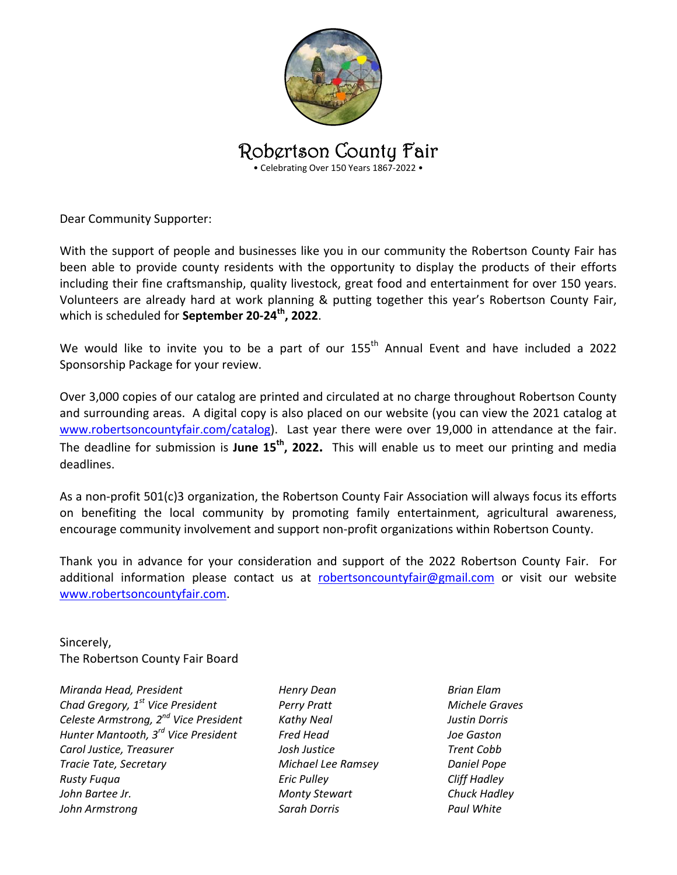

Robertson County Fair

• Celebrating Over 150 Years 1867‐2022 •

Dear Community Supporter:

With the support of people and businesses like you in our community the Robertson County Fair has been able to provide county residents with the opportunity to display the products of their efforts including their fine craftsmanship, quality livestock, great food and entertainment for over 150 years. Volunteers are already hard at work planning & putting together this year's Robertson County Fair, which is scheduled for **September 20‐24th, 2022**.

We would like to invite you to be a part of our 155<sup>th</sup> Annual Event and have included a 2022 Sponsorship Package for your review.

Over 3,000 copies of our catalog are printed and circulated at no charge throughout Robertson County and surrounding areas. A digital copy is also placed on our website (you can view the 2021 catalog at www.robertsoncountyfair.com/catalog). Last year there were over 19,000 in attendance at the fair. The deadline for submission is **June 15<sup>th</sup>, 2022.** This will enable us to meet our printing and media deadlines.

As a non-profit 501(c)3 organization, the Robertson County Fair Association will always focus its efforts on benefiting the local community by promoting family entertainment, agricultural awareness, encourage community involvement and support non‐profit organizations within Robertson County.

Thank you in advance for your consideration and support of the 2022 Robertson County Fair. For additional information please contact us at robertsoncountyfair@gmail.com or visit our website www.robertsoncountyfair.com.

Sincerely, The Robertson County Fair Board

*Miranda Head, President Chad Gregory, 1st Vice President Celeste Armstrong, 2nd Vice President Hunter Mantooth, 3rd Vice President Carol Justice, Treasurer Tracie Tate, Secretary Rusty Fuqua John Bartee Jr. John Armstrong* 

*Henry Dean Perry Pratt Kathy Neal Fred Head Josh Justice Michael Lee Ramsey Eric Pulley Monty Stewart Sarah Dorris* 

*Brian Elam Michele Graves Justin Dorris Joe Gaston Trent Cobb Daniel Pope Cliff Hadley Chuck Hadley Paul White*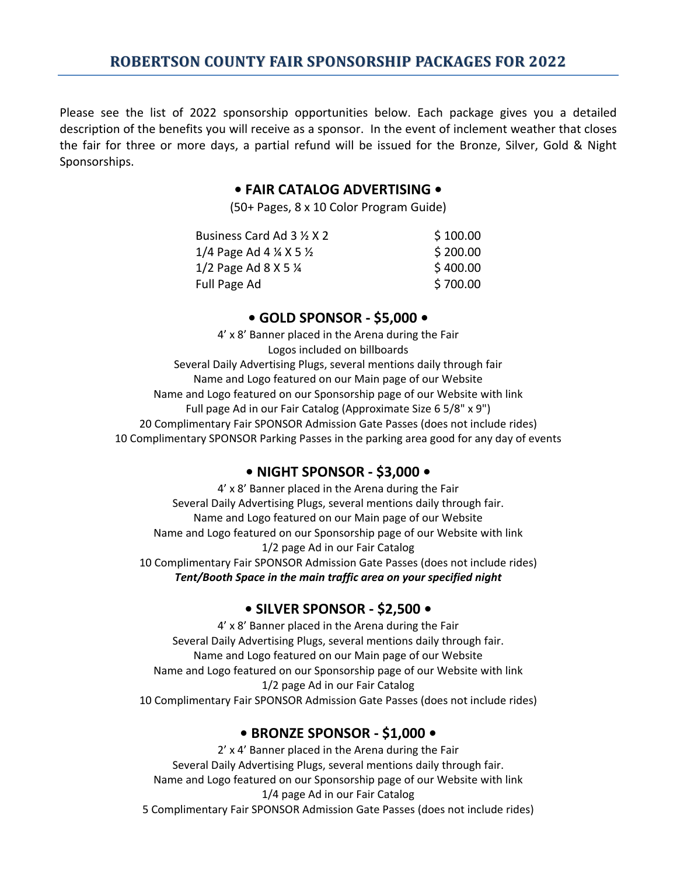Please see the list of 2022 sponsorship opportunities below. Each package gives you a detailed description of the benefits you will receive as a sponsor. In the event of inclement weather that closes the fair for three or more days, a partial refund will be issued for the Bronze, Silver, Gold & Night Sponsorships.

### **• FAIR CATALOG ADVERTISING •**

(50+ Pages, 8 x 10 Color Program Guide)

| Business Card Ad 3 1/2 X 2                    | \$100.00 |
|-----------------------------------------------|----------|
| 1/4 Page Ad 4 $\frac{1}{4}$ X 5 $\frac{1}{2}$ | \$200.00 |
| 1/2 Page Ad 8 X 5 $\frac{1}{4}$               | \$400.00 |
| Full Page Ad                                  | \$700.00 |
|                                               |          |

### **• GOLD SPONSOR ‐ \$5,000 •**

4' x 8' Banner placed in the Arena during the Fair Logos included on billboards Several Daily Advertising Plugs, several mentions daily through fair Name and Logo featured on our Main page of our Website Name and Logo featured on our Sponsorship page of our Website with link Full page Ad in our Fair Catalog (Approximate Size 6 5/8" x 9") 20 Complimentary Fair SPONSOR Admission Gate Passes (does not include rides) 10 Complimentary SPONSOR Parking Passes in the parking area good for any day of events

## **• NIGHT SPONSOR ‐ \$3,000 •**

4' x 8' Banner placed in the Arena during the Fair Several Daily Advertising Plugs, several mentions daily through fair. Name and Logo featured on our Main page of our Website Name and Logo featured on our Sponsorship page of our Website with link 1/2 page Ad in our Fair Catalog 10 Complimentary Fair SPONSOR Admission Gate Passes (does not include rides) *Tent/Booth Space in the main traffic area on your specified night* 

## **• SILVER SPONSOR ‐ \$2,500 •**

4' x 8' Banner placed in the Arena during the Fair Several Daily Advertising Plugs, several mentions daily through fair. Name and Logo featured on our Main page of our Website Name and Logo featured on our Sponsorship page of our Website with link 1/2 page Ad in our Fair Catalog 10 Complimentary Fair SPONSOR Admission Gate Passes (does not include rides)

## **• BRONZE SPONSOR ‐ \$1,000 •**

2' x 4' Banner placed in the Arena during the Fair Several Daily Advertising Plugs, several mentions daily through fair. Name and Logo featured on our Sponsorship page of our Website with link 1/4 page Ad in our Fair Catalog 5 Complimentary Fair SPONSOR Admission Gate Passes (does not include rides)